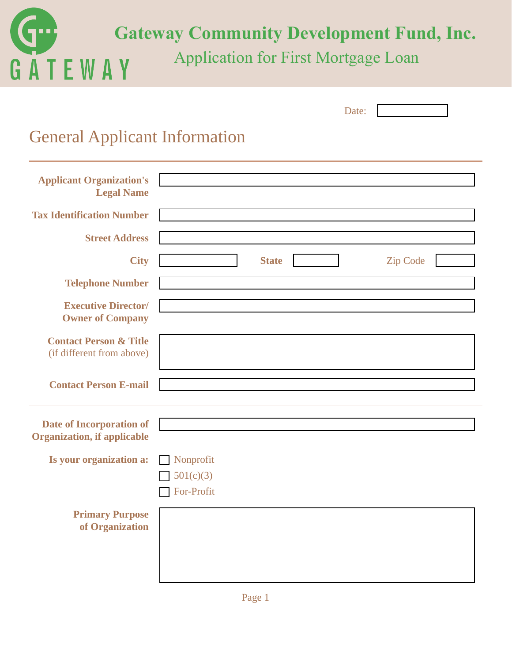

|                                                                       | Date:                           |
|-----------------------------------------------------------------------|---------------------------------|
| <b>General Applicant Information</b>                                  |                                 |
| <b>Applicant Organization's</b><br><b>Legal Name</b>                  |                                 |
| <b>Tax Identification Number</b>                                      |                                 |
| <b>Street Address</b>                                                 |                                 |
| <b>City</b>                                                           | <b>State</b><br><b>Zip Code</b> |
| <b>Telephone Number</b>                                               |                                 |
| <b>Executive Director/</b><br><b>Owner of Company</b>                 |                                 |
| <b>Contact Person &amp; Title</b><br>(if different from above)        |                                 |
| <b>Contact Person E-mail</b>                                          |                                 |
| <b>Date of Incorporation of</b><br><b>Organization, if applicable</b> |                                 |
| Is your organization a:                                               | Nonprofit                       |
|                                                                       | $\Box$ 501(c)(3)<br>For-Profit  |
| <b>Primary Purpose</b><br>of Organization                             |                                 |
|                                                                       |                                 |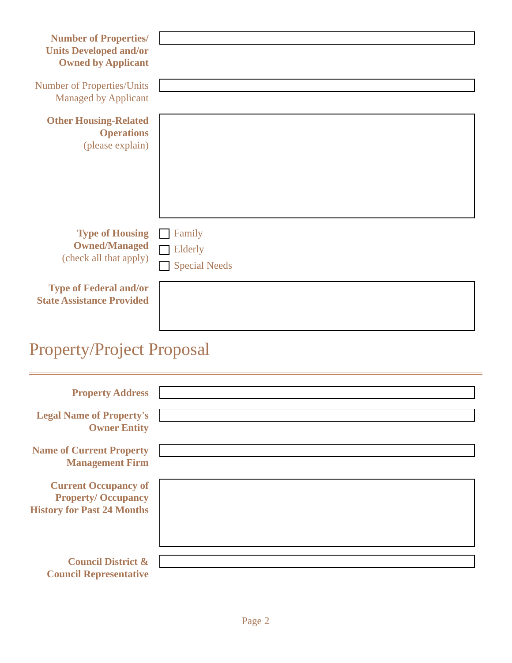| <b>Number of Properties/</b><br><b>Units Developed and/or</b><br><b>Owned by Applicant</b> |                                           |
|--------------------------------------------------------------------------------------------|-------------------------------------------|
| <b>Number of Properties/Units</b><br><b>Managed by Applicant</b>                           |                                           |
| <b>Other Housing-Related</b><br><b>Operations</b><br>(please explain)                      |                                           |
| <b>Type of Housing</b><br><b>Owned/Managed</b><br>(check all that apply)                   | Family<br>Elderly<br><b>Special Needs</b> |
| <b>Type of Federal and/or</b><br><b>State Assistance Provided</b>                          |                                           |
| <b>Property/Project Proposal</b>                                                           |                                           |

| <b>Property Address</b>                                                                       |  |
|-----------------------------------------------------------------------------------------------|--|
| <b>Legal Name of Property's</b><br><b>Owner Entity</b>                                        |  |
| <b>Name of Current Property</b><br><b>Management Firm</b>                                     |  |
| <b>Current Occupancy of</b><br><b>Property/Occupancy</b><br><b>History for Past 24 Months</b> |  |
| <b>Council District &amp;</b><br><b>Council Representative</b>                                |  |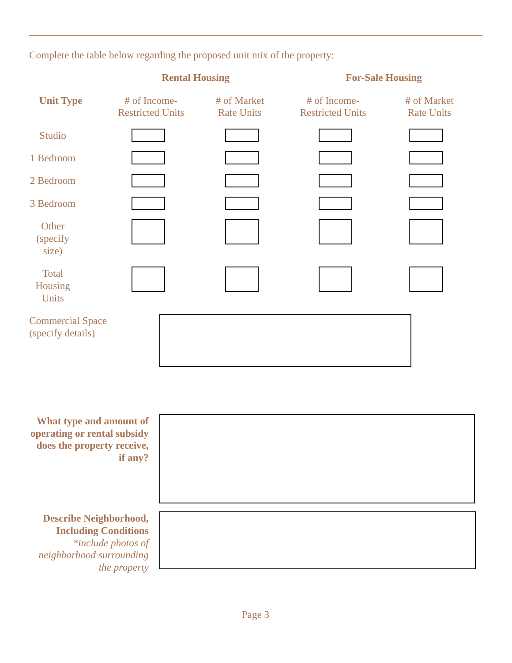Complete the table below regarding the proposed unit mix of the property:

|                                              | <b>Rental Housing</b>                   |                                  | <b>For-Sale Housing</b>                 |                                  |
|----------------------------------------------|-----------------------------------------|----------------------------------|-----------------------------------------|----------------------------------|
| <b>Unit Type</b>                             | # of Income-<br><b>Restricted Units</b> | # of Market<br><b>Rate Units</b> | # of Income-<br><b>Restricted Units</b> | # of Market<br><b>Rate Units</b> |
| Studio                                       |                                         |                                  |                                         |                                  |
| 1 Bedroom                                    |                                         |                                  |                                         |                                  |
| 2 Bedroom                                    |                                         |                                  |                                         |                                  |
| 3 Bedroom                                    |                                         |                                  |                                         |                                  |
| Other<br>(specify)<br>size)                  |                                         |                                  |                                         |                                  |
| <b>Total</b><br>Housing<br>Units             |                                         |                                  |                                         |                                  |
| <b>Commercial Space</b><br>(specify details) |                                         |                                  |                                         |                                  |

| What type and amount of<br>operating or rental subsidy<br>does the property receive,<br>if any? |  |
|-------------------------------------------------------------------------------------------------|--|
| <b>Describe Neighborhood,</b>                                                                   |  |
| <b>Including Conditions</b>                                                                     |  |
| *include photos of                                                                              |  |
| neighborhood surrounding                                                                        |  |
| <i>the property</i>                                                                             |  |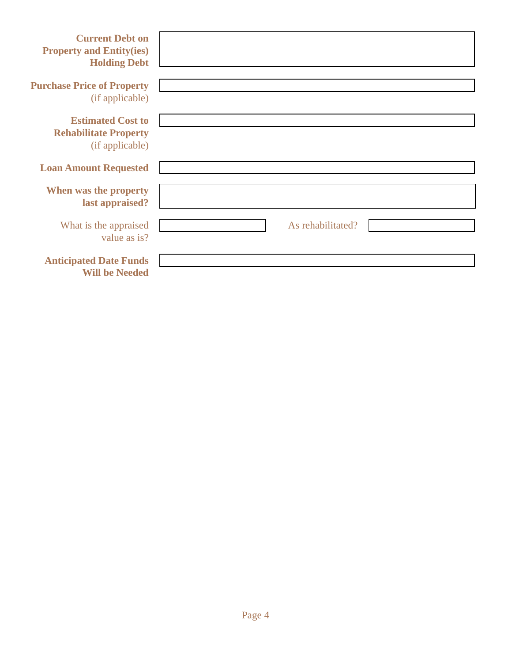| <b>Current Debt on</b><br><b>Property and Entity(ies)</b><br><b>Holding Debt</b> |                   |
|----------------------------------------------------------------------------------|-------------------|
| <b>Purchase Price of Property</b><br>(if applicable)                             |                   |
| <b>Estimated Cost to</b><br><b>Rehabilitate Property</b><br>(if applicable)      |                   |
| <b>Loan Amount Requested</b>                                                     |                   |
| When was the property<br>last appraised?                                         |                   |
| What is the appraised<br>value as is?                                            | As rehabilitated? |
| <b>Anticipated Date Funds</b><br><b>Will be Needed</b>                           |                   |